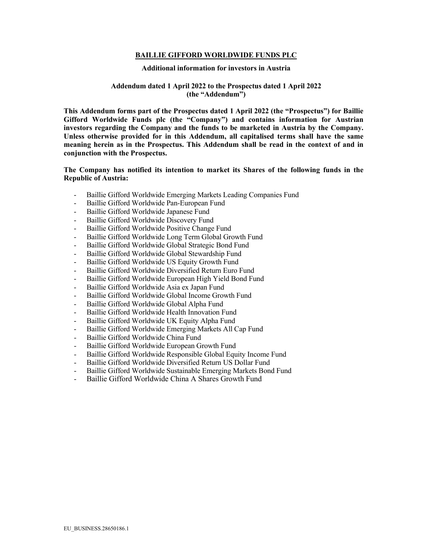#### **BAILLIE GIFFORD WORLDWIDE FUNDS PLC**

#### **Additional information for investors in Austria**

### **Addendum dated 1 April 2022 to the Prospectus dated 1 April 2022 (the "Addendum")**

**This Addendum forms part of the Prospectus dated 1 April 2022 (the "Prospectus") for Baillie Gifford Worldwide Funds plc (the "Company") and contains information for Austrian investors regarding the Company and the funds to be marketed in Austria by the Company. Unless otherwise provided for in this Addendum, all capitalised terms shall have the same meaning herein as in the Prospectus. This Addendum shall be read in the context of and in conjunction with the Prospectus.**

**The Company has notified its intention to market its Shares of the following funds in the Republic of Austria:**

- Baillie Gifford Worldwide Emerging Markets Leading Companies Fund
- Baillie Gifford Worldwide Pan-European Fund
- Baillie Gifford Worldwide Japanese Fund
- Baillie Gifford Worldwide Discovery Fund
- Baillie Gifford Worldwide Positive Change Fund
- Baillie Gifford Worldwide Long Term Global Growth Fund
- Baillie Gifford Worldwide Global Strategic Bond Fund
- Baillie Gifford Worldwide Global Stewardship Fund
- Baillie Gifford Worldwide US Equity Growth Fund
- Baillie Gifford Worldwide Diversified Return Euro Fund
- Baillie Gifford Worldwide European High Yield Bond Fund
- Baillie Gifford Worldwide Asia ex Japan Fund
- Baillie Gifford Worldwide Global Income Growth Fund
- Baillie Gifford Worldwide Global Alpha Fund
- Baillie Gifford Worldwide Health Innovation Fund
- Baillie Gifford Worldwide UK Equity Alpha Fund
- Baillie Gifford Worldwide Emerging Markets All Cap Fund
- Baillie Gifford Worldwide China Fund
- Baillie Gifford Worldwide European Growth Fund
- Baillie Gifford Worldwide Responsible Global Equity Income Fund
- Baillie Gifford Worldwide Diversified Return US Dollar Fund
- Baillie Gifford Worldwide Sustainable Emerging Markets Bond Fund
- Baillie Gifford Worldwide China A Shares Growth Fund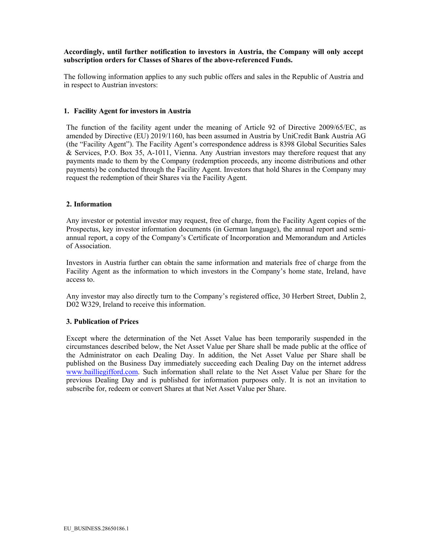# **Accordingly, until further notification to investors in Austria, the Company will only accept subscription orders for Classes of Shares of the above-referenced Funds.**

The following information applies to any such public offers and sales in the Republic of Austria and in respect to Austrian investors:

#### **1. Facility Agent for investors in Austria**

The function of the facility agent under the meaning of Article 92 of Directive 2009/65/EC, as amended by Directive (EU) 2019/1160, has been assumed in Austria by UniCredit Bank Austria AG (the "Facility Agent"). The Facility Agent's correspondence address is 8398 Global Securities Sales & Services, P.O. Box 35, A-1011, Vienna. Any Austrian investors may therefore request that any payments made to them by the Company (redemption proceeds, any income distributions and other payments) be conducted through the Facility Agent. Investors that hold Shares in the Company may request the redemption of their Shares via the Facility Agent.

### **2. Information**

Any investor or potential investor may request, free of charge, from the Facility Agent copies of the Prospectus, key investor information documents (in German language), the annual report and semiannual report, a copy of the Company's Certificate of Incorporation and Memorandum and Articles of Association.

Investors in Austria further can obtain the same information and materials free of charge from the Facility Agent as the information to which investors in the Company's home state, Ireland, have access to.

Any investor may also directly turn to the Company's registered office, 30 Herbert Street, Dublin 2, D02 W329, Ireland to receive this information.

### **3. Publication of Prices**

Except where the determination of the Net Asset Value has been temporarily suspended in the circumstances described below, the Net Asset Value per Share shall be made public at the office of the Administrator on each Dealing Day. In addition, the Net Asset Value per Share shall be published on the Business Day immediately succeeding each Dealing Day on the internet address [www.bailliegifford.com.](http://www.bailliegifford.com/) Such information shall relate to the Net Asset Value per Share for the previous Dealing Day and is published for information purposes only. It is not an invitation to subscribe for, redeem or convert Shares at that Net Asset Value per Share.